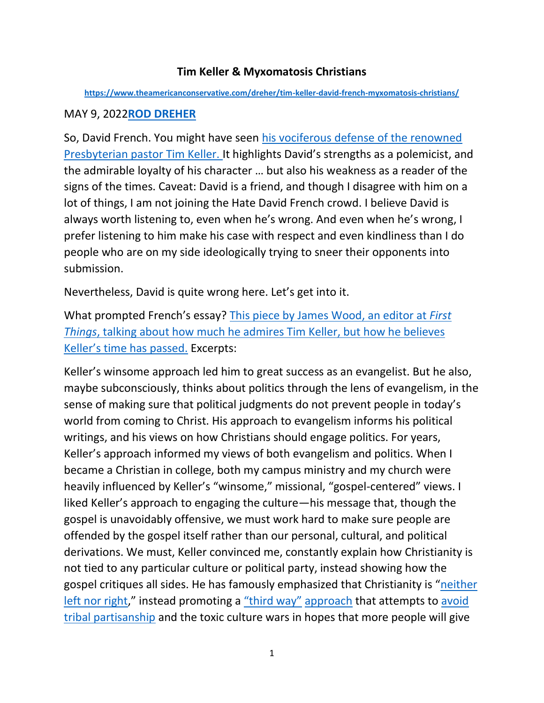## **Tim Keller & Myxomatosis Christians**

**<https://www.theamericanconservative.com/dreher/tim-keller-david-french-myxomatosis-christians/>**

## MAY 9, 2022**[ROD DREHER](https://www.theamericanconservative.com/author/rod-dreher/)**

So, David French. You might have seen [his vociferous defense of the renowned](https://frenchpress.thedispatch.com/p/a-critique-of-tim-keller-reveals?s=r)  [Presbyterian pastor Tim Keller.](https://frenchpress.thedispatch.com/p/a-critique-of-tim-keller-reveals?s=r) It highlights David's strengths as a polemicist, and the admirable loyalty of his character … but also his weakness as a reader of the signs of the times. Caveat: David is a friend, and though I disagree with him on a lot of things, I am not joining the Hate David French crowd. I believe David is always worth listening to, even when he's wrong. And even when he's wrong, I prefer listening to him make his case with respect and even kindliness than I do people who are on my side ideologically trying to sneer their opponents into submission.

Nevertheless, David is quite wrong here. Let's get into it.

What prompted French's essay? [This piece by James Wood, an editor at](https://www.firstthings.com/web-exclusives/2022/05/how-i-evolved-on-tim-keller) *First Things*[, talking about how much he admires Tim Keller, but how he believes](https://www.firstthings.com/web-exclusives/2022/05/how-i-evolved-on-tim-keller)  [Keller's time h](https://www.firstthings.com/web-exclusives/2022/05/how-i-evolved-on-tim-keller)as passed. Excerpts:

Keller's winsome approach led him to great success as an evangelist. But he also, maybe subconsciously, thinks about politics through the lens of evangelism, in the sense of making sure that political judgments do not prevent people in today's world from coming to Christ. His approach to evangelism informs his political writings, and his views on how Christians should engage politics. For years, Keller's approach informed my views of both evangelism and politics. When I became a Christian in college, both my campus ministry and my church were heavily influenced by Keller's "winsome," missional, "gospel-centered" views. I liked Keller's approach to engaging the culture—his message that, though the gospel is unavoidably offensive, we must work hard to make sure people are offended by the gospel itself rather than our personal, cultural, and political derivations. We must, Keller convinced me, constantly explain how Christianity is not tied to any particular culture or political party, instead showing how the gospel critiques all sides. He has famously emphasized that Christianity is "[neither](https://www.nytimes.com/2018/09/29/opinion/sunday/christians-politics-belief.html)  [left nor right](https://www.nytimes.com/2018/09/29/opinion/sunday/christians-politics-belief.html)," instead promoting a ["third way"](https://www.christianitytoday.com/pastors/2008/october-online-only/third-way-faith.html) [approach](https://twitter.com/timkellernyc/status/1446492807015899154?s=10) that attempts to avoid [tribal partisanship](https://quarterly.gospelinlife.com/the-decline-of-evangelicalism/) and the toxic culture wars in hopes that more people will give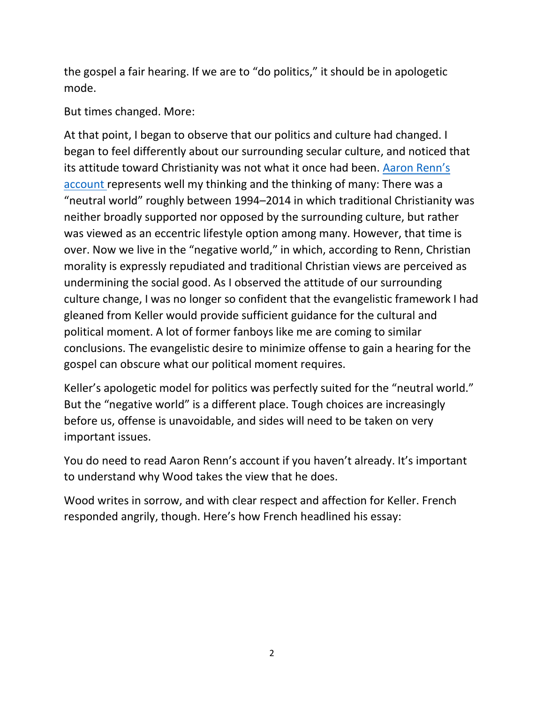the gospel a fair hearing. If we are to "do politics," it should be in apologetic mode.

But times changed. More:

At that point, I began to observe that our politics and culture had changed. I began to feel differently about our surrounding secular culture, and noticed that its attitude toward Christianity was not what it once had been. [Aaron Renn's](https://www.firstthings.com/article/2022/02/the-three-worlds-of-evangelicalism)  [account](https://www.firstthings.com/article/2022/02/the-three-worlds-of-evangelicalism) represents well my thinking and the thinking of many: There was a "neutral world" roughly between 1994–2014 in which traditional Christianity was neither broadly supported nor opposed by the surrounding culture, but rather was viewed as an eccentric lifestyle option among many. However, that time is over. Now we live in the "negative world," in which, according to Renn, Christian morality is expressly repudiated and traditional Christian views are perceived as undermining the social good. As I observed the attitude of our surrounding culture change, I was no longer so confident that the evangelistic framework I had gleaned from Keller would provide sufficient guidance for the cultural and political moment. A lot of former fanboys like me are coming to similar conclusions. The evangelistic desire to minimize offense to gain a hearing for the gospel can obscure what our political moment requires.

Keller's apologetic model for politics was perfectly suited for the "neutral world." But the "negative world" is a different place. Tough choices are increasingly before us, offense is unavoidable, and sides will need to be taken on very important issues.

You do need to read Aaron Renn's account if you haven't already. It's important to understand why Wood takes the view that he does.

Wood writes in sorrow, and with clear respect and affection for Keller. French responded angrily, though. Here's how French headlined his essay: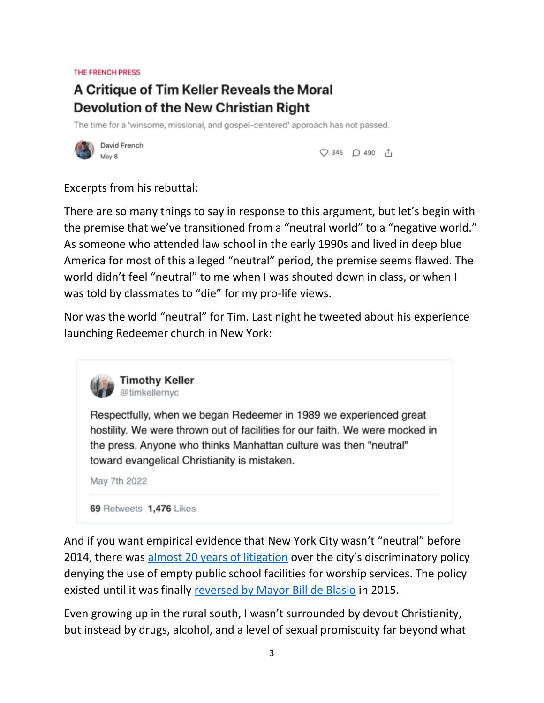**THE FRENCH PRESS** 

# A Critique of Tim Keller Reveals the Moral **Devolution of the New Christian Right**

The time for a 'winsome, missional, and gospel-centered' approach has not passed.



David French May 8

 $\heartsuit$  345  $\heartsuit$  490  $\uparrow$ 

Excerpts from his rebuttal:

There are so many things to say in response to this argument, but let's begin with the premise that we've transitioned from a "neutral world" to a "negative world." As someone who attended law school in the early 1990s and lived in deep blue America for most of this alleged "neutral" period, the premise seems flawed. The world didn't feel "neutral" to me when I was shouted down in class, or when I was told by classmates to "die" for my pro-life views.

Nor was the world "neutral" for Tim. Last night he tweeted about his experience launching Redeemer church in New York:

**Timothy Keller** @timkellernyc

Respectfully, when we began Redeemer in 1989 we experienced great hostility. We were thrown out of facilities for our faith. We were mocked in the press. Anyone who thinks Manhattan culture was then "neutral" toward evangelical Christianity is mistaken.

May 7th 2022

69 Retweets 1,476 Likes

And if you want empirical evidence that New York City wasn't "neutral" before 2014, there was [almost 20 years of litigation](https://caselaw.findlaw.com/us-2nd-circuit/1662374.html) over the city's discriminatory policy denying the use of empty public school facilities for worship services. The policy existed until it was finally [reversed by Mayor Bill de Blasio](https://www.nydailynews.com/opinion/jordan-lorence-de-blasio-champion-religious-liberty-article-1.2498402) in 2015.

Even growing up in the rural south, I wasn't surrounded by devout Christianity, but instead by drugs, alcohol, and a level of sexual promiscuity far beyond what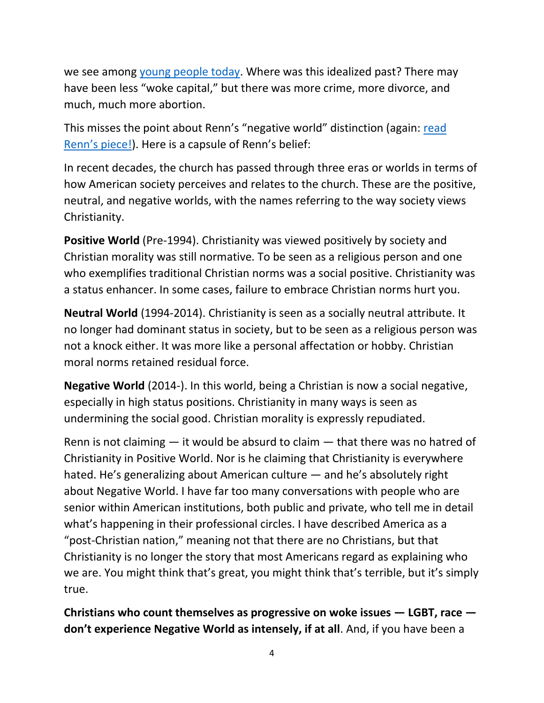we see among [young people today.](https://www.theatlantic.com/magazine/archive/2018/12/the-sex-recession/573949/) Where was this idealized past? There may have been less "woke capital," but there was more crime, more divorce, and much, much more abortion.

This misses the point about Renn's "negative world" distinction (again: read [Renn's piece!\)](https://americanreformer.org/2021/08/welcome-to-the-negative-world-why-we-need-american-reformer/). Here is a capsule of Renn's belief:

In recent decades, the church has passed through three eras or worlds in terms of how American society perceives and relates to the church. These are the positive, neutral, and negative worlds, with the names referring to the way society views Christianity.

**Positive World** (Pre-1994). Christianity was viewed positively by society and Christian morality was still normative. To be seen as a religious person and one who exemplifies traditional Christian norms was a social positive. Christianity was a status enhancer. In some cases, failure to embrace Christian norms hurt you.

**Neutral World** (1994-2014). Christianity is seen as a socially neutral attribute. It no longer had dominant status in society, but to be seen as a religious person was not a knock either. It was more like a personal affectation or hobby. Christian moral norms retained residual force.

**Negative World** (2014-). In this world, being a Christian is now a social negative, especially in high status positions. Christianity in many ways is seen as undermining the social good. Christian morality is expressly repudiated.

Renn is not claiming — it would be absurd to claim — that there was no hatred of Christianity in Positive World. Nor is he claiming that Christianity is everywhere hated. He's generalizing about American culture — and he's absolutely right about Negative World. I have far too many conversations with people who are senior within American institutions, both public and private, who tell me in detail what's happening in their professional circles. I have described America as a "post-Christian nation," meaning not that there are no Christians, but that Christianity is no longer the story that most Americans regard as explaining who we are. You might think that's great, you might think that's terrible, but it's simply true.

**Christians who count themselves as progressive on woke issues — LGBT, race don't experience Negative World as intensely, if at all**. And, if you have been a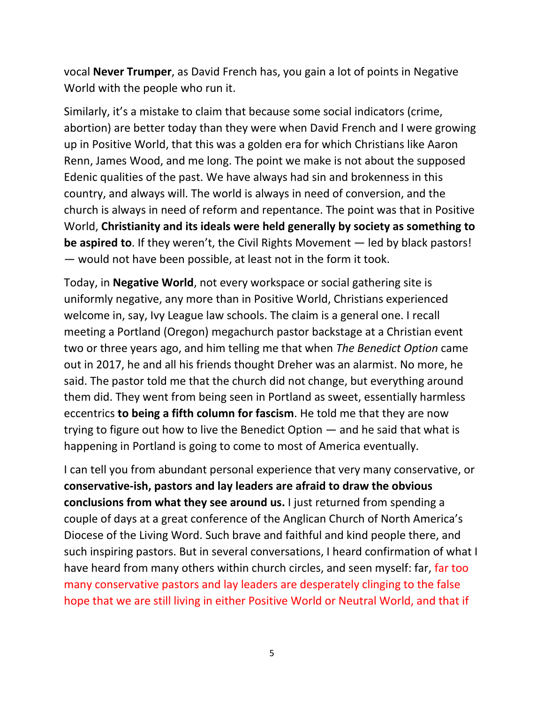vocal **Never Trumper**, as David French has, you gain a lot of points in Negative World with the people who run it.

Similarly, it's a mistake to claim that because some social indicators (crime, abortion) are better today than they were when David French and I were growing up in Positive World, that this was a golden era for which Christians like Aaron Renn, James Wood, and me long. The point we make is not about the supposed Edenic qualities of the past. We have always had sin and brokenness in this country, and always will. The world is always in need of conversion, and the church is always in need of reform and repentance. The point was that in Positive World, **Christianity and its ideals were held generally by society as something to be aspired to**. If they weren't, the Civil Rights Movement — led by black pastors! — would not have been possible, at least not in the form it took.

Today, in **Negative World**, not every workspace or social gathering site is uniformly negative, any more than in Positive World, Christians experienced welcome in, say, Ivy League law schools. The claim is a general one. I recall meeting a Portland (Oregon) megachurch pastor backstage at a Christian event two or three years ago, and him telling me that when *The Benedict Option* came out in 2017, he and all his friends thought Dreher was an alarmist. No more, he said. The pastor told me that the church did not change, but everything around them did. They went from being seen in Portland as sweet, essentially harmless eccentrics **to being a fifth column for fascism**. He told me that they are now trying to figure out how to live the Benedict Option — and he said that what is happening in Portland is going to come to most of America eventually.

I can tell you from abundant personal experience that very many conservative, or **conservative-ish, pastors and lay leaders are afraid to draw the obvious conclusions from what they see around us.** I just returned from spending a couple of days at a great conference of the Anglican Church of North America's Diocese of the Living Word. Such brave and faithful and kind people there, and such inspiring pastors. But in several conversations, I heard confirmation of what I have heard from many others within church circles, and seen myself: far, far too many conservative pastors and lay leaders are desperately clinging to the false hope that we are still living in either Positive World or Neutral World, and that if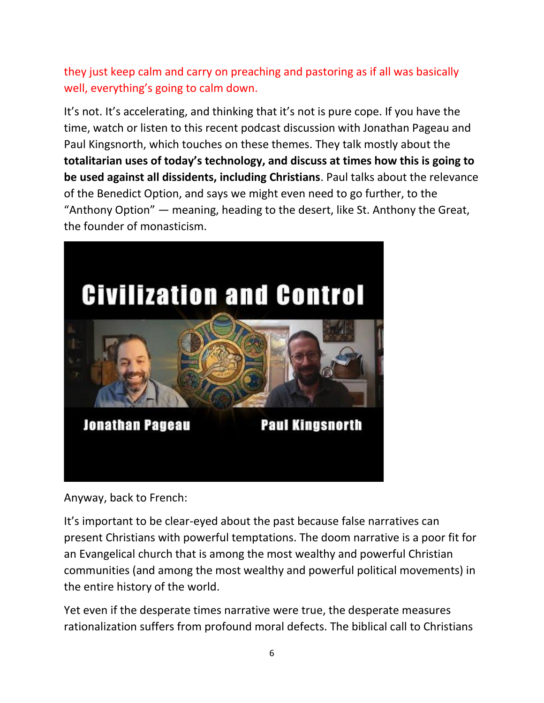they just keep calm and carry on preaching and pastoring as if all was basically well, everything's going to calm down.

It's not. It's accelerating, and thinking that it's not is pure cope. If you have the time, watch or listen to this recent podcast discussion with Jonathan Pageau and Paul Kingsnorth, which touches on these themes. They talk mostly about the **totalitarian uses of today's technology, and discuss at times how this is going to be used against all dissidents, including Christians**. Paul talks about the relevance of the Benedict Option, and says we might even need to go further, to the "Anthony Option" — meaning, heading to the desert, like St. Anthony the Great, the founder of monasticism.



Anyway, back to French:

It's important to be clear-eyed about the past because false narratives can present Christians with powerful temptations. The doom narrative is a poor fit for an Evangelical church that is among the most wealthy and powerful Christian communities (and among the most wealthy and powerful political movements) in the entire history of the world.

Yet even if the desperate times narrative were true, the desperate measures rationalization suffers from profound moral defects. The biblical call to Christians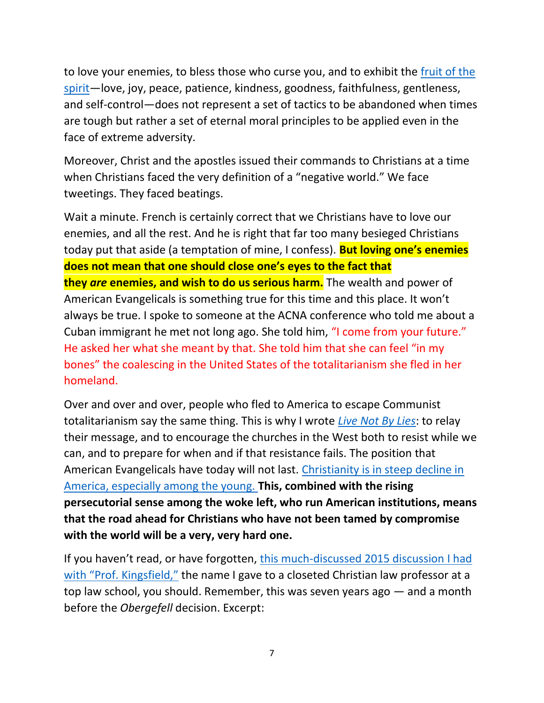to love your enemies, to bless those who curse you, and to exhibit the [fruit of the](https://www.biblegateway.com/passage/?search=Galatians%205&version=CSB)  [spirit](https://www.biblegateway.com/passage/?search=Galatians%205&version=CSB)—love, joy, peace, patience, kindness, goodness, faithfulness, gentleness, and self-control—does not represent a set of tactics to be abandoned when times are tough but rather a set of eternal moral principles to be applied even in the face of extreme adversity.

Moreover, Christ and the apostles issued their commands to Christians at a time when Christians faced the very definition of a "negative world." We face tweetings. They faced beatings.

Wait a minute. French is certainly correct that we Christians have to love our enemies, and all the rest. And he is right that far too many besieged Christians today put that aside (a temptation of mine, I confess). **But loving one's enemies does not mean that one should close one's eyes to the fact that they** *are* **enemies, and wish to do us serious harm.** The wealth and power of American Evangelicals is something true for this time and this place. It won't always be true. I spoke to someone at the ACNA conference who told me about a Cuban immigrant he met not long ago. She told him, "I come from your future." He asked her what she meant by that. She told him that she can feel "in my bones" the coalescing in the United States of the totalitarianism she fled in her homeland.

Over and over and over, people who fled to America to escape Communist totalitarianism say the same thing. This is why I wrote *[Live Not By Lies](https://www.penguinrandomhouse.com/books/622436/live-not-by-lies-by-rod-dreher/)*: to relay their message, and to encourage the churches in the West both to resist while we can, and to prepare for when and if that resistance fails. The position that American Evangelicals have today will not last. [Christianity is in steep decline in](https://www.pewresearch.org/religion/2019/10/17/in-u-s-decline-of-christianity-continues-at-rapid-pace/)  [America, especially among the young.](https://www.pewresearch.org/religion/2019/10/17/in-u-s-decline-of-christianity-continues-at-rapid-pace/) **This, combined with the rising persecutorial sense among the woke left, who run American institutions, means that the road ahead for Christians who have not been tamed by compromise with the world will be a very, very hard one.**

If you haven't read, or have forgotten, [this much-discussed 2015 discussion I had](https://www.theamericanconservative.com/dreher/the-post-indiana-future-christian-religious-liberty-gay-rights/)  [with "Prof. Kingsfield,"](https://www.theamericanconservative.com/dreher/the-post-indiana-future-christian-religious-liberty-gay-rights/) the name I gave to a closeted Christian law professor at a top law school, you should. Remember, this was seven years ago — and a month before the *Obergefell* decision. Excerpt: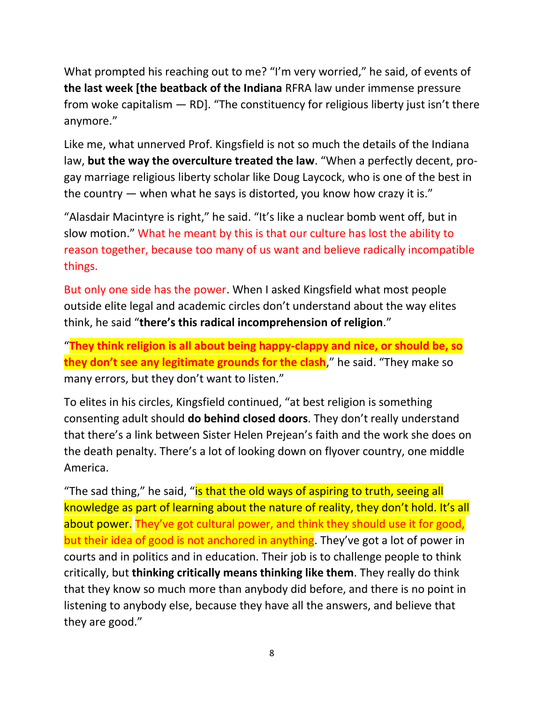What prompted his reaching out to me? "I'm very worried," he said, of events of **the last week [the beatback of the Indiana** RFRA law under immense pressure from woke capitalism — RD]. "The constituency for religious liberty just isn't there anymore."

Like me, what unnerved Prof. Kingsfield is not so much the details of the Indiana law, **but the way the overculture treated the law**. "When a perfectly decent, progay marriage religious liberty scholar like Doug Laycock, who is one of the best in the country — when what he says is distorted, you know how crazy it is."

"Alasdair Macintyre is right," he said. "It's like a nuclear bomb went off, but in slow motion." What he meant by this is that our culture has lost the ability to reason together, because too many of us want and believe radically incompatible things.

But only one side has the power. When I asked Kingsfield what most people outside elite legal and academic circles don't understand about the way elites think, he said "**there's this radical incomprehension of religion**."

"**They think religion is all about being happy-clappy and nice, or should be, so they don't see any legitimate grounds for the clash**," he said. "They make so many errors, but they don't want to listen."

To elites in his circles, Kingsfield continued, "at best religion is something consenting adult should **do behind closed doors**. They don't really understand that there's a link between Sister Helen Prejean's faith and the work she does on the death penalty. There's a lot of looking down on flyover country, one middle America.

"The sad thing," he said, "is that the old ways of aspiring to truth, seeing all knowledge as part of learning about the nature of reality, they don't hold. It's all about power. They've got cultural power, and think they should use it for good, but their idea of good is not anchored in anything. They've got a lot of power in courts and in politics and in education. Their job is to challenge people to think critically, but **thinking critically means thinking like them**. They really do think that they know so much more than anybody did before, and there is no point in listening to anybody else, because they have all the answers, and believe that they are good."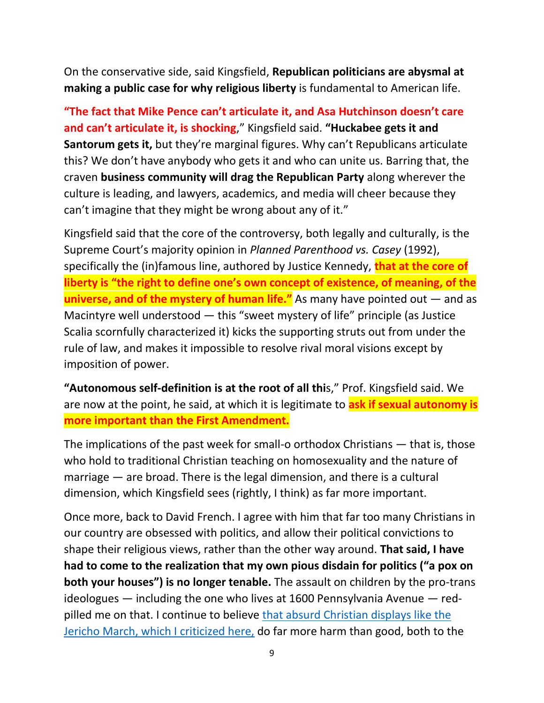On the conservative side, said Kingsfield, **Republican politicians are abysmal at making a public case for why religious liberty** is fundamental to American life.

**"The fact that Mike Pence can't articulate it, and Asa Hutchinson doesn't care and can't articulate it, is shocking**," Kingsfield said. **"Huckabee gets it and Santorum gets it,** but they're marginal figures. Why can't Republicans articulate this? We don't have anybody who gets it and who can unite us. Barring that, the craven **business community will drag the Republican Party** along wherever the culture is leading, and lawyers, academics, and media will cheer because they can't imagine that they might be wrong about any of it."

Kingsfield said that the core of the controversy, both legally and culturally, is the Supreme Court's majority opinion in *Planned Parenthood vs. Casey* (1992), specifically the (in)famous line, authored by Justice Kennedy, **that at the core of liberty is "the right to define one's own concept of existence, of meaning, of the universe, and of the mystery of human life."** As many have pointed out — and as Macintyre well understood — this "sweet mystery of life" principle (as Justice Scalia scornfully characterized it) kicks the supporting struts out from under the rule of law, and makes it impossible to resolve rival moral visions except by imposition of power.

**"Autonomous self-definition is at the root of all thi**s," Prof. Kingsfield said. We are now at the point, he said, at which it is legitimate to **ask if sexual autonomy is more important than the First Amendment.**

The implications of the past week for small-o orthodox Christians — that is, those who hold to traditional Christian teaching on homosexuality and the nature of marriage — are broad. There is the legal dimension, and there is a cultural dimension, which Kingsfield sees (rightly, I think) as far more important.

Once more, back to David French. I agree with him that far too many Christians in our country are obsessed with politics, and allow their political convictions to shape their religious views, rather than the other way around. **That said, I have had to come to the realization that my own pious disdain for politics ("a pox on both your houses") is no longer tenable.** The assault on children by the pro-trans ideologues — including the one who lives at 1600 Pennsylvania Avenue — redpilled me on that. I continue to believe [that absurd Christian displays like the](https://www.theamericanconservative.com/dreher/what-i-saw-at-the-jericho-march/)  [Jericho March, which I criticized here,](https://www.theamericanconservative.com/dreher/what-i-saw-at-the-jericho-march/) do far more harm than good, both to the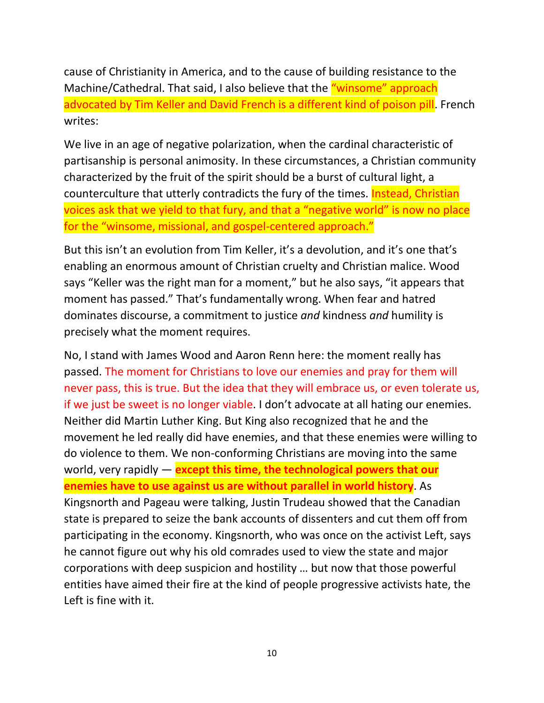cause of Christianity in America, and to the cause of building resistance to the Machine/Cathedral. That said, I also believe that the "winsome" approach advocated by Tim Keller and David French is a different kind of poison pill. French writes:

We live in an age of negative polarization, when the cardinal characteristic of partisanship is personal animosity. In these circumstances, a Christian community characterized by the fruit of the spirit should be a burst of cultural light, a counterculture that utterly contradicts the fury of the times. **Instead, Christian** voices ask that we yield to that fury, and that a "negative world" is now no place for the "winsome, missional, and gospel-centered approach."

But this isn't an evolution from Tim Keller, it's a devolution, and it's one that's enabling an enormous amount of Christian cruelty and Christian malice. Wood says "Keller was the right man for a moment," but he also says, "it appears that moment has passed." That's fundamentally wrong. When fear and hatred dominates discourse, a commitment to justice *and* kindness *and* humility is precisely what the moment requires.

No, I stand with James Wood and Aaron Renn here: the moment really has passed. The moment for Christians to love our enemies and pray for them will never pass, this is true. But the idea that they will embrace us, or even tolerate us, if we just be sweet is no longer viable. I don't advocate at all hating our enemies. Neither did Martin Luther King. But King also recognized that he and the movement he led really did have enemies, and that these enemies were willing to do violence to them. We non-conforming Christians are moving into the same world, very rapidly — **except this time, the technological powers that our enemies have to use against us are without parallel in world history**. As Kingsnorth and Pageau were talking, Justin Trudeau showed that the Canadian state is prepared to seize the bank accounts of dissenters and cut them off from participating in the economy. Kingsnorth, who was once on the activist Left, says he cannot figure out why his old comrades used to view the state and major corporations with deep suspicion and hostility … but now that those powerful entities have aimed their fire at the kind of people progressive activists hate, the Left is fine with it.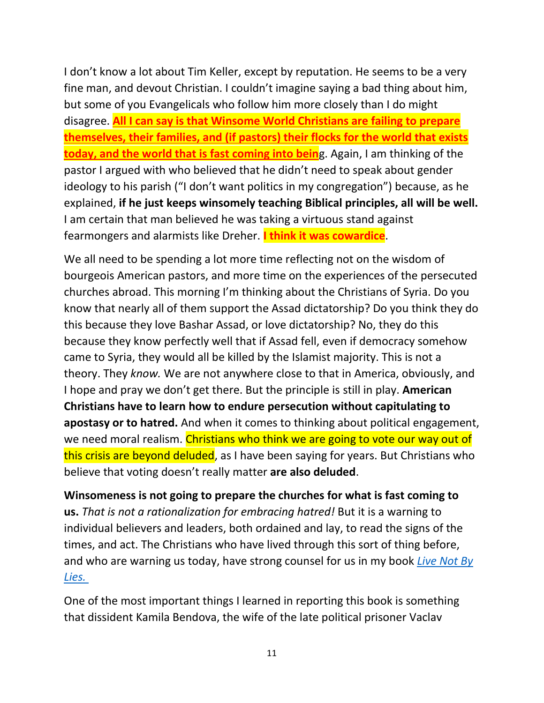I don't know a lot about Tim Keller, except by reputation. He seems to be a very fine man, and devout Christian. I couldn't imagine saying a bad thing about him, but some of you Evangelicals who follow him more closely than I do might disagree. **All I can say is that Winsome World Christians are failing to prepare themselves, their families, and (if pastors) their flocks for the world that exists today, and the world that is fast coming into bein**g. Again, I am thinking of the pastor I argued with who believed that he didn't need to speak about gender ideology to his parish ("I don't want politics in my congregation") because, as he explained, **if he just keeps winsomely teaching Biblical principles, all will be well.** I am certain that man believed he was taking a virtuous stand against fearmongers and alarmists like Dreher. **I think it was cowardice**.

We all need to be spending a lot more time reflecting not on the wisdom of bourgeois American pastors, and more time on the experiences of the persecuted churches abroad. This morning I'm thinking about the Christians of Syria. Do you know that nearly all of them support the Assad dictatorship? Do you think they do this because they love Bashar Assad, or love dictatorship? No, they do this because they know perfectly well that if Assad fell, even if democracy somehow came to Syria, they would all be killed by the Islamist majority. This is not a theory. They *know.* We are not anywhere close to that in America, obviously, and I hope and pray we don't get there. But the principle is still in play. **American Christians have to learn how to endure persecution without capitulating to apostasy or to hatred.** And when it comes to thinking about political engagement, we need moral realism. Christians who think we are going to vote our way out of this crisis are beyond deluded, as I have been saying for years. But Christians who believe that voting doesn't really matter **are also deluded**.

**Winsomeness is not going to prepare the churches for what is fast coming to us.** *That is not a rationalization for embracing hatred!* But it is a warning to individual believers and leaders, both ordained and lay, to read the signs of the times, and act. The Christians who have lived through this sort of thing before, and who are warning us today, have strong counsel for us in my book *[Live Not By](https://www.penguinrandomhouse.com/books/622436/live-not-by-lies-by-rod-dreher/)  [Lies.](https://www.penguinrandomhouse.com/books/622436/live-not-by-lies-by-rod-dreher/)*

One of the most important things I learned in reporting this book is something that dissident Kamila Bendova, the wife of the late political prisoner Vaclav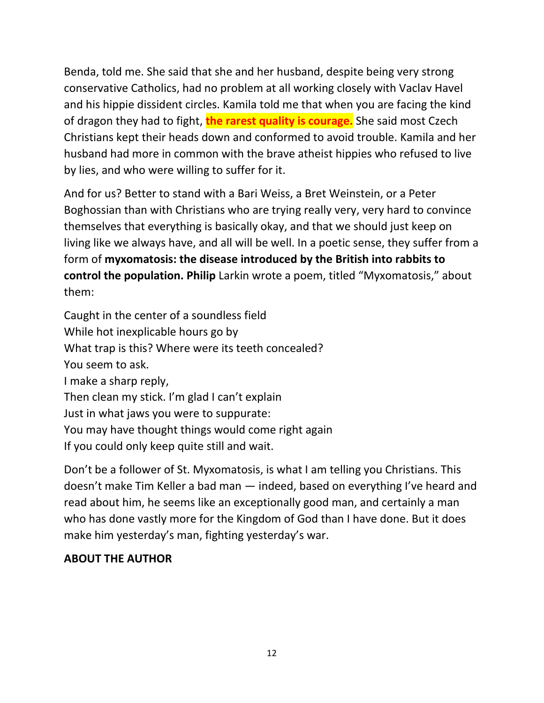Benda, told me. She said that she and her husband, despite being very strong conservative Catholics, had no problem at all working closely with Vaclav Havel and his hippie dissident circles. Kamila told me that when you are facing the kind of dragon they had to fight, **the rarest quality is courage.** She said most Czech Christians kept their heads down and conformed to avoid trouble. Kamila and her husband had more in common with the brave atheist hippies who refused to live by lies, and who were willing to suffer for it.

And for us? Better to stand with a Bari Weiss, a Bret Weinstein, or a Peter Boghossian than with Christians who are trying really very, very hard to convince themselves that everything is basically okay, and that we should just keep on living like we always have, and all will be well. In a poetic sense, they suffer from a form of **myxomatosis: the disease introduced by the British into rabbits to control the population. Philip** Larkin wrote a poem, titled "Myxomatosis," about them:

Caught in the center of a soundless field While hot inexplicable hours go by What trap is this? Where were its teeth concealed? You seem to ask. I make a sharp reply, Then clean my stick. I'm glad I can't explain Just in what jaws you were to suppurate: You may have thought things would come right again If you could only keep quite still and wait.

Don't be a follower of St. Myxomatosis, is what I am telling you Christians. This doesn't make Tim Keller a bad man — indeed, based on everything I've heard and read about him, he seems like an exceptionally good man, and certainly a man who has done vastly more for the Kingdom of God than I have done. But it does make him yesterday's man, fighting yesterday's war.

## **ABOUT THE AUTHOR**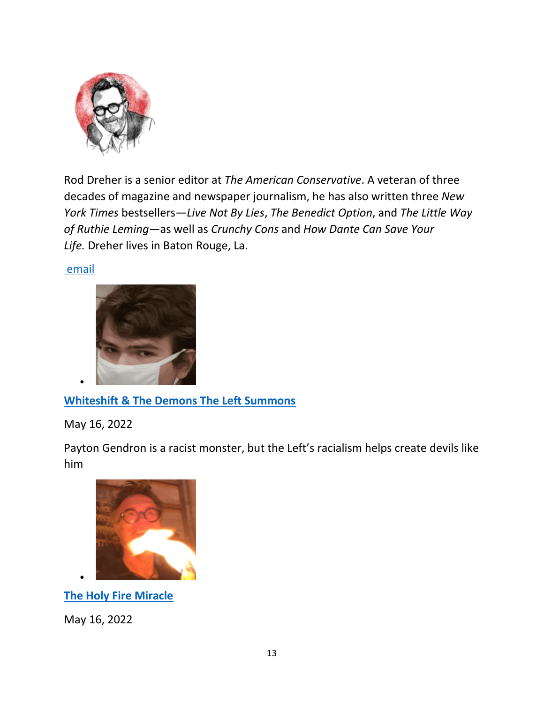

Rod Dreher is a senior editor at *The American Conservative*. A veteran of three decades of magazine and newspaper journalism, he has also written three *New York Times* bestsellers—*Live Not By Lies*, *The Benedict Option*, and *The Little Way of Ruthie Leming*—as well as *Crunchy Cons* and *How Dante Can Save Your Life.* Dreher lives in Baton Rouge, La.

[email](mailto:%20rod@amconmag.com)

•



**[Whiteshift & The Demons The Left Summons](https://www.theamericanconservative.com/dreher/whiteshift-payton-gendron-racism-demons-left-calls-up/)**

May 16, 2022

Payton Gendron is a racist monster, but the Left's racialism helps create devils like him



**[The Holy Fire Miracle](https://www.theamericanconservative.com/dreher/the-holy-fire-miracle/)**

May 16, 2022

•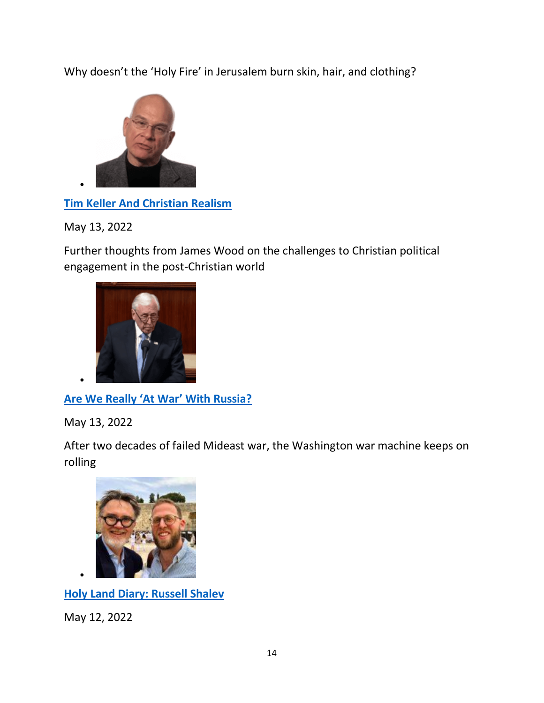Why doesn't the 'Holy Fire' in Jerusalem burn skin, hair, and clothing?



**[Tim Keller And Christian Realism](https://www.theamericanconservative.com/dreher/tim-keller-and-christian-realism-politics/)**

May 13, 2022

•

Further thoughts from James Wood on the challenges to Christian political engagement in the post-Christian world



**[Are We Really 'At War' With Russia?](https://www.theamericanconservative.com/dreher/are-we-really-at-war-with-russia/)**

May 13, 2022

•

After two decades of failed Mideast war, the Washington war machine keeps on rolling



**[Holy Land Diary: Russell Shalev](https://www.theamericanconservative.com/dreher/holy-land-diary-russell-shalev/)**

May 12, 2022

•